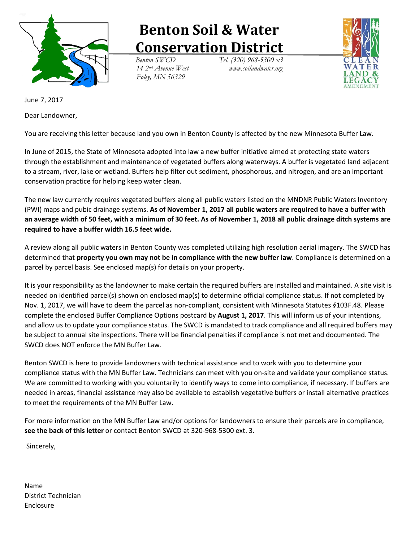

# **Benton Soil & Water Conservation District**

 *Foley, MN 56329*

*Benton SWCD Tel. (320) 968-5300 x3 14 2nd Avenue West www.soilandwater.org*



June 7, 2017

Dear Landowner,

You are receiving this letter because land you own in Benton County is affected by the new Minnesota Buffer Law.

In June of 2015, the State of Minnesota adopted into law a new buffer initiative aimed at protecting state waters through the establishment and maintenance of vegetated buffers along waterways. A buffer is vegetated land adjacent to a stream, river, lake or wetland. Buffers help filter out sediment, phosphorous, and nitrogen, and are an important conservation practice for helping keep water clean.

The new law currently requires vegetated buffers along all public waters listed on the MNDNR Public Waters Inventory (PWI) maps and pubic drainage systems. **As of November 1, 2017 all public waters are required to have a buffer with an average width of 50 feet, with a minimum of 30 feet. As of November 1, 2018 all public drainage ditch systems are required to have a buffer width 16.5 feet wide.**

A review along all public waters in Benton County was completed utilizing high resolution aerial imagery. The SWCD has determined that **property you own may not be in compliance with the new buffer law**. Compliance is determined on a parcel by parcel basis. See enclosed map(s) for details on your property.

It is your responsibility as the landowner to make certain the required buffers are installed and maintained. A site visit is needed on identified parcel(s) shown on enclosed map(s) to determine official compliance status. If not completed by Nov. 1, 2017, we will have to deem the parcel as non-compliant, consistent with Minnesota Statutes *§*103F.48. Please complete the enclosed Buffer Compliance Options postcard by **August 1, 2017**. This will inform us of your intentions, and allow us to update your compliance status. The SWCD is mandated to track compliance and all required buffers may be subject to annual site inspections. There will be financial penalties if compliance is not met and documented. The SWCD does NOT enforce the MN Buffer Law.

Benton SWCD is here to provide landowners with technical assistance and to work with you to determine your compliance status with the MN Buffer Law. Technicians can meet with you on-site and validate your compliance status. We are committed to working with you voluntarily to identify ways to come into compliance, if necessary. If buffers are needed in areas, financial assistance may also be available to establish vegetative buffers or install alternative practices to meet the requirements of the MN Buffer Law.

For more information on the MN Buffer Law and/or options for landowners to ensure their parcels are in compliance, **see the back of this letter** or contact Benton SWCD at 320-968-5300 ext. 3.

Sincerely,

Name District Technician Enclosure